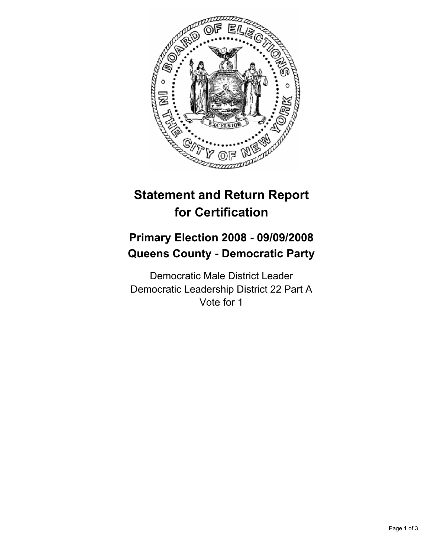

# **Statement and Return Report for Certification**

# **Primary Election 2008 - 09/09/2008 Queens County - Democratic Party**

Democratic Male District Leader Democratic Leadership District 22 Part A Vote for 1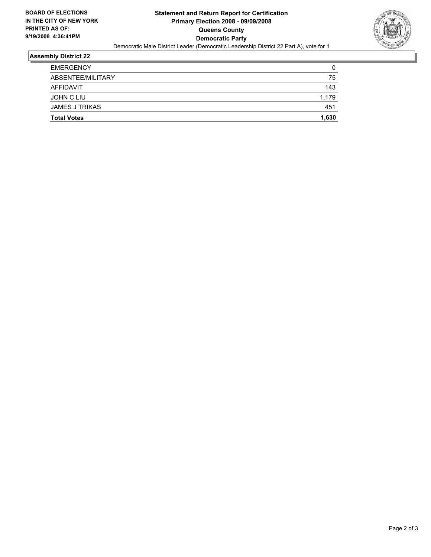

#### **Assembly District 22**

| <b>Total Votes</b>    | 1,630 |
|-----------------------|-------|
| <b>JAMES J TRIKAS</b> | 451   |
| JOHN C LIU            | 1,179 |
| AFFIDAVIT             | 143   |
| ABSENTEE/MILITARY     | 75    |
| <b>EMERGENCY</b>      | 0     |